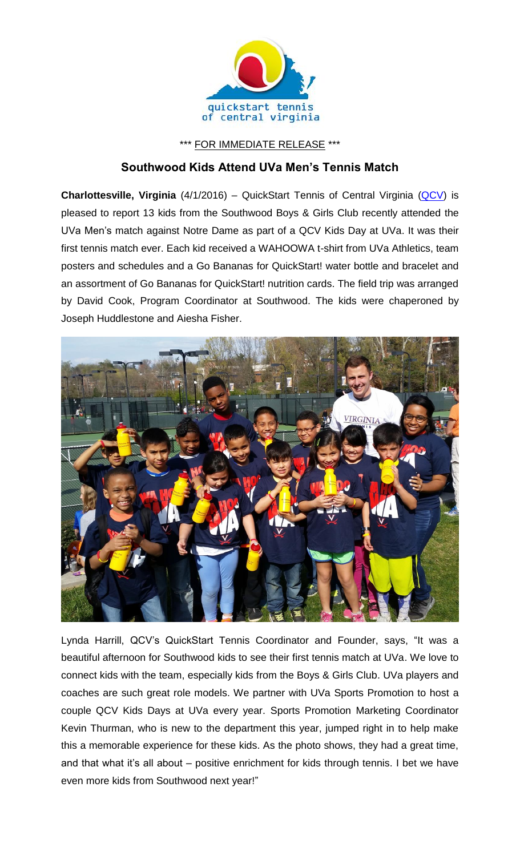

\*\*\* FOR IMMEDIATE RELEASE \*\*\*

## **Southwood Kids Attend UVa Men's Tennis Match**

**Charlottesville, Virginia** (4/1/2016) – QuickStart Tennis of Central Virginia [\(QCV\)](http://www.quickstartcentral.org/) is pleased to report 13 kids from the Southwood Boys & Girls Club recently attended the UVa Men's match against Notre Dame as part of a QCV Kids Day at UVa. It was their first tennis match ever. Each kid received a WAHOOWA t-shirt from UVa Athletics, team posters and schedules and a Go Bananas for QuickStart! water bottle and bracelet and an assortment of Go Bananas for QuickStart! nutrition cards. The field trip was arranged by David Cook, Program Coordinator at Southwood. The kids were chaperoned by Joseph Huddlestone and Aiesha Fisher.



Lynda Harrill, QCV's QuickStart Tennis Coordinator and Founder, says, "It was a beautiful afternoon for Southwood kids to see their first tennis match at UVa. We love to connect kids with the team, especially kids from the Boys & Girls Club. UVa players and coaches are such great role models. We partner with UVa Sports Promotion to host a couple QCV Kids Days at UVa every year. Sports Promotion Marketing Coordinator Kevin Thurman, who is new to the department this year, jumped right in to help make this a memorable experience for these kids. As the photo shows, they had a great time, and that what it's all about – positive enrichment for kids through tennis. I bet we have even more kids from Southwood next year!"